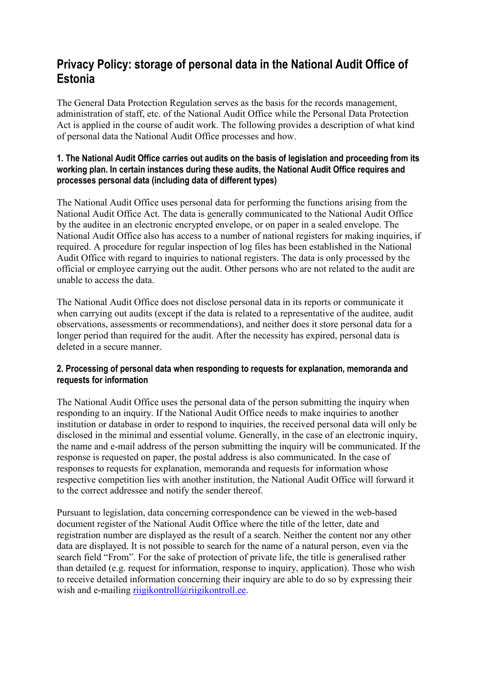# **Privacy Policy: storage of personal data in the National Audit Office of Estonia**

The General Data Protection Regulation serves as the basis for the records management, administration of staff, etc. of the National Audit Office while the Personal Data Protection Act is applied in the course of audit work. The following provides a description of what kind of personal data the National Audit Office processes and how.

# **1. The National Audit Office carries out audits on the basis of legislation and proceeding from its working plan. In certain instances during these audits, the National Audit Office requires and processes personal data (including data of different types)**

The National Audit Office uses personal data for performing the functions arising from the National Audit Office Act. The data is generally communicated to the National Audit Office by the auditee in an electronic encrypted envelope, or on paper in a sealed envelope. The National Audit Office also has access to a number of national registers for making inquiries, if required. A procedure for regular inspection of log files has been established in the National Audit Office with regard to inquiries to national registers. The data is only processed by the official or employee carrying out the audit. Other persons who are not related to the audit are unable to access the data.

The National Audit Office does not disclose personal data in its reports or communicate it when carrying out audits (except if the data is related to a representative of the auditee, audit observations, assessments or recommendations), and neither does it store personal data for a longer period than required for the audit. After the necessity has expired, personal data is deleted in a secure manner.

# **2. Processing of personal data when responding to requests for explanation, memoranda and requests for information**

The National Audit Office uses the personal data of the person submitting the inquiry when responding to an inquiry. If the National Audit Office needs to make inquiries to another institution or database in order to respond to inquiries, the received personal data will only be disclosed in the minimal and essential volume. Generally, in the case of an electronic inquiry, the name and e-mail address of the person submitting the inquiry will be communicated. If the response is requested on paper, the postal address is also communicated. In the case of responses to requests for explanation, memoranda and requests for information whose respective competition lies with another institution, the National Audit Office will forward it to the correct addressee and notify the sender thereof.

Pursuant to legislation, data concerning correspondence can be viewed in the web-based document register of the National Audit Office where the title of the letter, date and registration number are displayed as the result of a search. Neither the content nor any other data are displayed. It is not possible to search for the name of a natural person, even via the search field "From". For the sake of protection of private life, the title is generalised rather than detailed (e.g. request for information, response to inquiry, application). Those who wish to receive detailed information concerning their inquiry are able to do so by expressing their wish and e-mailing [riigikontroll@riigikontroll.ee.](mailto:riigikontroll@riigikontroll.ee)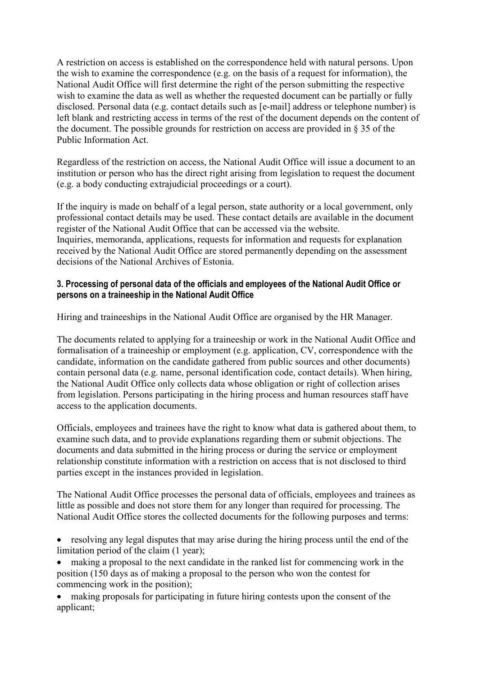A restriction on access is established on the correspondence held with natural persons. Upon the wish to examine the correspondence (e.g. on the basis of a request for information), the National Audit Office will first determine the right of the person submitting the respective wish to examine the data as well as whether the requested document can be partially or fully disclosed. Personal data (e.g. contact details such as [e-mail] address or telephone number) is left blank and restricting access in terms of the rest of the document depends on the content of the document. The possible grounds for restriction on access are provided in § 35 of the Public Information Act.

Regardless of the restriction on access, the National Audit Office will issue a document to an institution or person who has the direct right arising from legislation to request the document (e.g. a body conducting extrajudicial proceedings or a court).

If the inquiry is made on behalf of a legal person, state authority or a local government, only professional contact details may be used. These contact details are available in the document register of the National Audit Office that can be accessed via the website. Inquiries, memoranda, applications, requests for information and requests for explanation received by the National Audit Office are stored permanently depending on the assessment decisions of the National Archives of Estonia.

# **3. Processing of personal data of the officials and employees of the National Audit Office or persons on a traineeship in the National Audit Office**

Hiring and traineeships in the National Audit Office are organised by the HR Manager.

The documents related to applying for a traineeship or work in the National Audit Office and formalisation of a traineeship or employment (e.g. application, CV, correspondence with the candidate, information on the candidate gathered from public sources and other documents) contain personal data (e.g. name, personal identification code, contact details). When hiring, the National Audit Office only collects data whose obligation or right of collection arises from legislation. Persons participating in the hiring process and human resources staff have access to the application documents.

Officials, employees and trainees have the right to know what data is gathered about them, to examine such data, and to provide explanations regarding them or submit objections. The documents and data submitted in the hiring process or during the service or employment relationship constitute information with a restriction on access that is not disclosed to third parties except in the instances provided in legislation.

The National Audit Office processes the personal data of officials, employees and trainees as little as possible and does not store them for any longer than required for processing. The National Audit Office stores the collected documents for the following purposes and terms:

• resolving any legal disputes that may arise during the hiring process until the end of the limitation period of the claim (1 year);

making a proposal to the next candidate in the ranked list for commencing work in the position (150 days as of making a proposal to the person who won the contest for commencing work in the position);

• making proposals for participating in future hiring contests upon the consent of the applicant;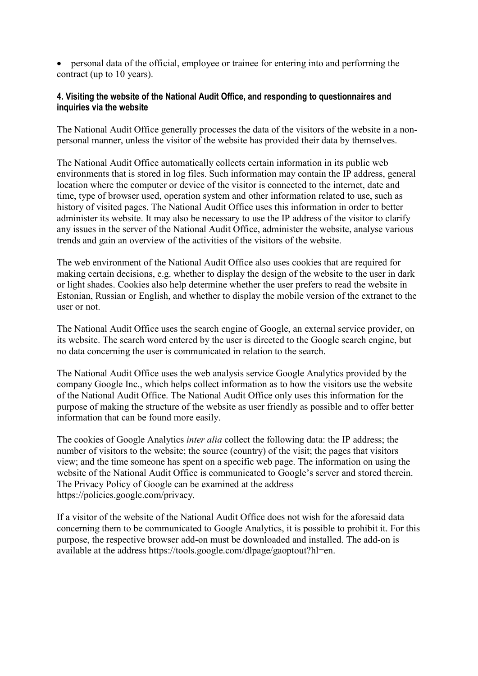• personal data of the official, employee or trainee for entering into and performing the contract (up to 10 years).

# **4. Visiting the website of the National Audit Office, and responding to questionnaires and inquiries via the website**

The National Audit Office generally processes the data of the visitors of the website in a nonpersonal manner, unless the visitor of the website has provided their data by themselves.

The National Audit Office automatically collects certain information in its public web environments that is stored in log files. Such information may contain the IP address, general location where the computer or device of the visitor is connected to the internet, date and time, type of browser used, operation system and other information related to use, such as history of visited pages. The National Audit Office uses this information in order to better administer its website. It may also be necessary to use the IP address of the visitor to clarify any issues in the server of the National Audit Office, administer the website, analyse various trends and gain an overview of the activities of the visitors of the website.

The web environment of the National Audit Office also uses cookies that are required for making certain decisions, e.g. whether to display the design of the website to the user in dark or light shades. Cookies also help determine whether the user prefers to read the website in Estonian, Russian or English, and whether to display the mobile version of the extranet to the user or not.

The National Audit Office uses the search engine of Google, an external service provider, on its website. The search word entered by the user is directed to the Google search engine, but no data concerning the user is communicated in relation to the search.

The National Audit Office uses the web analysis service Google Analytics provided by the company Google Inc., which helps collect information as to how the visitors use the website of the National Audit Office. The National Audit Office only uses this information for the purpose of making the structure of the website as user friendly as possible and to offer better information that can be found more easily.

The cookies of Google Analytics *inter alia* collect the following data: the IP address; the number of visitors to the website; the source (country) of the visit; the pages that visitors view; and the time someone has spent on a specific web page. The information on using the website of the National Audit Office is communicated to Google's server and stored therein. The Privacy Policy of Google can be examined at the address https://policies.google.com/privacy.

If a visitor of the website of the National Audit Office does not wish for the aforesaid data concerning them to be communicated to Google Analytics, it is possible to prohibit it. For this purpose, the respective browser add-on must be downloaded and installed. The add-on is available at the address https://tools.google.com/dlpage/gaoptout?hl=en.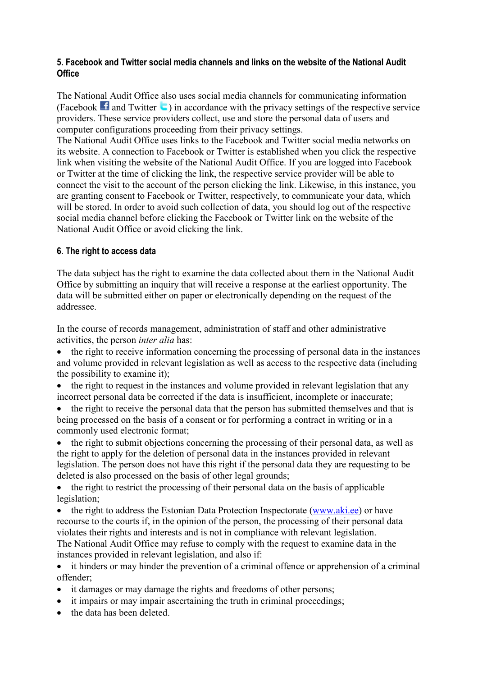# **5. Facebook and Twitter social media channels and links on the website of the National Audit Office**

The National Audit Office also uses social media channels for communicating information (Facebook $\blacksquare$ ) in accordance with the privacy settings of the respective service providers. These service providers collect, use and store the personal data of users and computer configurations proceeding from their privacy settings.

The National Audit Office uses links to the Facebook and Twitter social media networks on its website. A connection to Facebook or Twitter is established when you click the respective link when visiting the website of the National Audit Office. If you are logged into Facebook or Twitter at the time of clicking the link, the respective service provider will be able to connect the visit to the account of the person clicking the link. Likewise, in this instance, you are granting consent to Facebook or Twitter, respectively, to communicate your data, which will be stored. In order to avoid such collection of data, you should log out of the respective social media channel before clicking the Facebook or Twitter link on the website of the National Audit Office or avoid clicking the link.

# **6. The right to access data**

The data subject has the right to examine the data collected about them in the National Audit Office by submitting an inquiry that will receive a response at the earliest opportunity. The data will be submitted either on paper or electronically depending on the request of the addressee.

In the course of records management, administration of staff and other administrative activities, the person *inter alia* has:

• the right to receive information concerning the processing of personal data in the instances and volume provided in relevant legislation as well as access to the respective data (including the possibility to examine it);

- the right to request in the instances and volume provided in relevant legislation that any incorrect personal data be corrected if the data is insufficient, incomplete or inaccurate;
- the right to receive the personal data that the person has submitted themselves and that is being processed on the basis of a consent or for performing a contract in writing or in a commonly used electronic format;
- the right to submit objections concerning the processing of their personal data, as well as the right to apply for the deletion of personal data in the instances provided in relevant legislation. The person does not have this right if the personal data they are requesting to be deleted is also processed on the basis of other legal grounds;
- the right to restrict the processing of their personal data on the basis of applicable legislation;
- the right to address the Estonian Data Protection Inspectorate [\(www.aki.ee\)](http://www.aki.ee/) or have recourse to the courts if, in the opinion of the person, the processing of their personal data violates their rights and interests and is not in compliance with relevant legislation. The National Audit Office may refuse to comply with the request to examine data in the instances provided in relevant legislation, and also if:

• it hinders or may hinder the prevention of a criminal offence or apprehension of a criminal offender;

- it damages or may damage the rights and freedoms of other persons;
- it impairs or may impair ascertaining the truth in criminal proceedings;
- the data has been deleted.